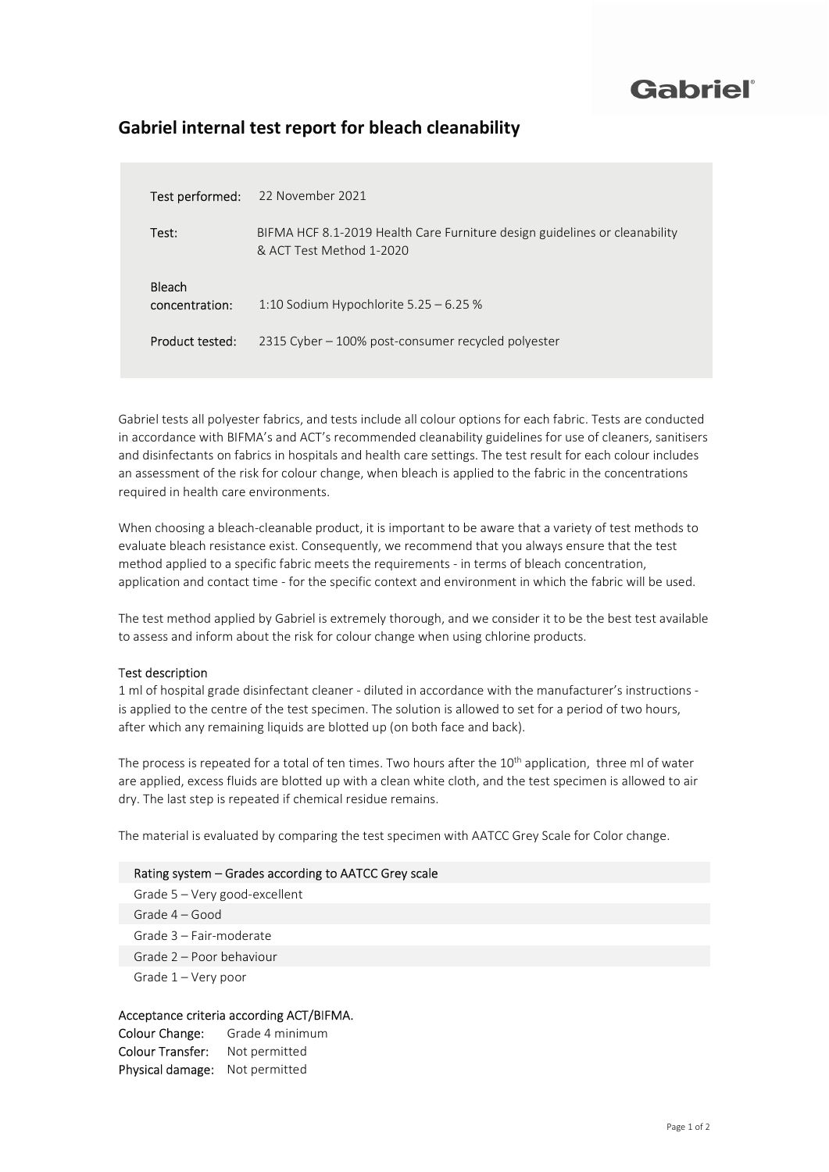## Gabriel®

### Gabriel internal test report for bleach cleanability

| Test performed:                 | 22 November 2021                                                                                       |
|---------------------------------|--------------------------------------------------------------------------------------------------------|
| Test:                           | BIFMA HCF 8.1-2019 Health Care Furniture design guidelines or cleanability<br>& ACT Test Method 1-2020 |
| <b>Bleach</b><br>concentration: | 1:10 Sodium Hypochlorite $5.25 - 6.25$ %                                                               |
| Product tested:                 | 2315 Cyber – 100% post-consumer recycled polyester                                                     |

Gabriel tests all polyester fabrics, and tests include all colour options for each fabric. Tests are conducted in accordance with BIFMA's and ACT's recommended cleanability guidelines for use of cleaners, sanitisers and disinfectants on fabrics in hospitals and health care settings. The test result for each colour includes an assessment of the risk for colour change, when bleach is applied to the fabric in the concentrations required in health care environments.

When choosing a bleach-cleanable product, it is important to be aware that a variety of test methods to evaluate bleach resistance exist. Consequently, we recommend that you always ensure that the test method applied to a specific fabric meets the requirements - in terms of bleach concentration, application and contact time - for the specific context and environment in which the fabric will be used.

The test method applied by Gabriel is extremely thorough, and we consider it to be the best test available to assess and inform about the risk for colour change when using chlorine products.

#### Test description

1 ml of hospital grade disinfectant cleaner - diluted in accordance with the manufacturer's instructions is applied to the centre of the test specimen. The solution is allowed to set for a period of two hours, after which any remaining liquids are blotted up (on both face and back).

The process is repeated for a total of ten times. Two hours after the 10<sup>th</sup> application, three ml of water are applied, excess fluids are blotted up with a clean white cloth, and the test specimen is allowed to air dry. The last step is repeated if chemical residue remains.

The material is evaluated by comparing the test specimen with AATCC Grey Scale for Color change.

#### Rating system – Grades according to AATCC Grey scale

Grade 5 – Very good-excellent Grade 4 – Good Grade 3 – Fair-moderate Grade 2 – Poor behaviour Grade 1 – Very poor

#### Acceptance criteria according ACT/BIFMA.

Colour Change: Grade 4 minimum Colour Transfer: Not permitted Physical damage: Not permitted